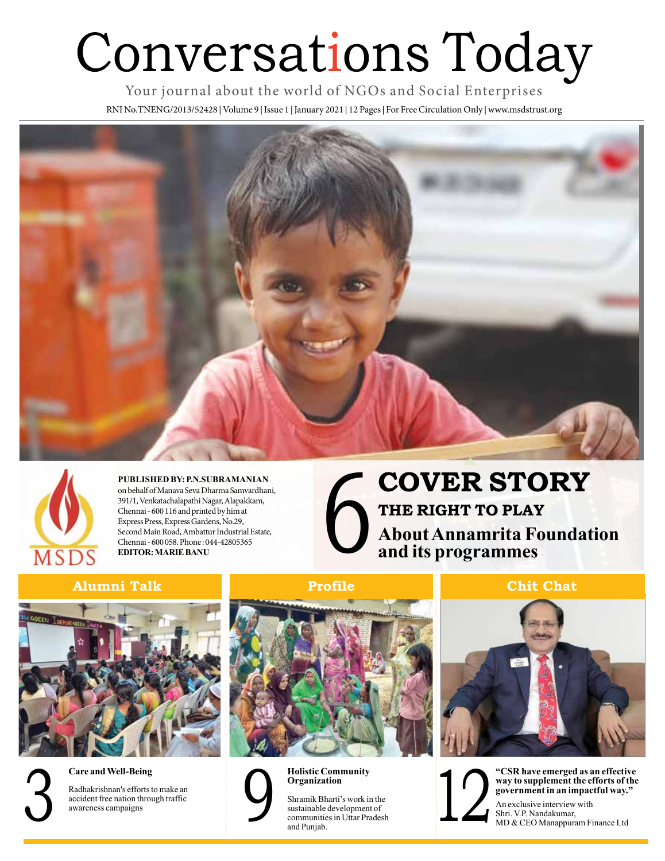# Conversations Today

Your journal about the world of NGOs and Social Enterprises RNI No.TNENG/2013/52428 **|** Volume 9 **|** Issue 1 **|** January 2021 **|** 12 Pages **|** For Free Circulation Only **|** www.msdstrust.org





**PUBLISHED BY: P.N.SUBRAMANIAN**  on behalf of Manava Seva Dharma Samvardhani, 391/1, Venkatachalapathi Nagar, Alapakkam, Chennai - 600 116 and printed by him at Express Press, Express Gardens, No.29, Second Main Road, Ambattur Industrial Estate, Chennai - 600 058. Phone : 044-42805365 **EDITOR: MARIE BANU**

### 6 **COVER STORY THE RIGHT TO PLAY About Annamrita Foundation and its programmes**

### **Alumni Talk Profile Chit Chat**





**Care and Well-Being**

Radhakrishnan's efforts to make an accident free nation through traffic awareness campaigns







**Organization**  Shramik Bharti's work in the sustainable development of communities in Uttar Pradesh and Punjab. Radhakrishnan's efforts to make an<br>accident free nation through traffic<br>awareness campaigns<br>and Punjab.<br>All Channels in Uttar Pradesh<br>and Punjab.

**Holistic Community** 



**"CSR have emerged as an effective way to supplement the efforts of the government in an impactful way."** 

An exclusive interview with Shri. V.P. Nandakumar, MD & CEO Manappuram Finance Ltd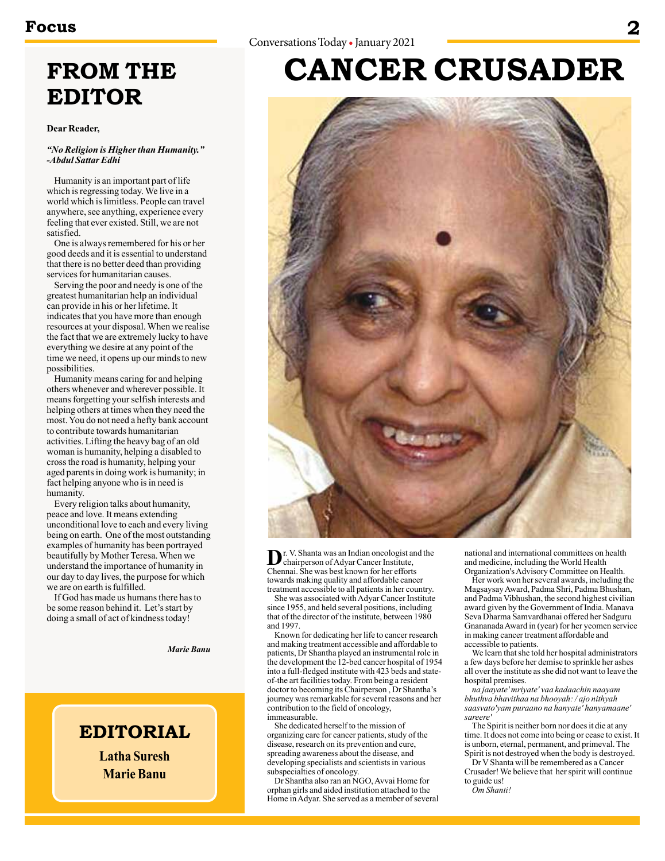### **FROM THE EDITOR**

#### **Dear Reader,**

#### *"No Religion is Higher than Humanity." -Abdul Sattar Edhi*

Humanity is an important part of life which is regressing today. We live in a world which is limitless. People can travel anywhere, see anything, experience every feeling that ever existed. Still, we are not satisfied.

One is always remembered for his or her good deeds and it is essential to understand that there is no better deed than providing services for humanitarian causes.

Serving the poor and needy is one of the greatest humanitarian help an individual can provide in his or her lifetime. It indicates that you have more than enough resources at your disposal. When we realise the fact that we are extremely lucky to have everything we desire at any point of the time we need, it opens up our minds to new possibilities.

Humanity means caring for and helping others whenever and wherever possible. It means forgetting your selfish interests and helping others at times when they need the most. You do not need a hefty bank account to contribute towards humanitarian activities. Lifting the heavy bag of an old woman is humanity, helping a disabled to cross the road is humanity, helping your aged parents in doing work is humanity; in fact helping anyone who is in need is humanity.

Every religion talks about humanity, peace and love. It means extending unconditional love to each and every living being on earth. One of the most outstanding examples of humanity has been portrayed beautifully by Mother Teresa. When we understand the importance of humanity in our day to day lives, the purpose for which we are on earth is fulfilled.

If God has made us humans there has to be some reason behind it. Let's start by doing a small of act of kindness today!

*Marie Banu*

### **EDITORIAL**

**Latha Suresh Marie Banu**

# **CANCER CRUSADER**



**D**r. V. Shanta was an Indian oncologist and the chairperson of Adyar Cancer Institute, Chennai. She was best known for her efforts towards making quality and affordable cancer treatment accessible to all patients in her country.

She was associated with Adyar Cancer Institute since 1955, and held several positions, including that of the director of the institute, between 1980 and 1997.

Known for dedicating her life to cancer research and making treatment accessible and affordable to patients, Dr Shantha played an instrumental role in the development the 12-bed cancer hospital of 1954 into a full-fledged institute with 423 beds and stateof-the art facilities today. From being a resident doctor to becoming its Chairperson , Dr Shantha's journey was remarkable for several reasons and her contribution to the field of oncology, immeasurable.

She dedicated herself to the mission of organizing care for cancer patients, study of the disease, research on its prevention and cure, spreading awareness about the disease, and developing specialists and scientists in various subspecialties of oncology.

Dr Shantha also ran an NGO, Avvai Home for orphan girls and aided institution attached to the Home in Adyar. She served as a member of several national and international committees on health and medicine, including the World Health Organization's Advisory Committee on Health.

Her work won her several awards, including the Magsaysay Award, Padma Shri, Padma Bhushan, and Padma Vibhushan, the second highest civilian award given by the Government of India. Manava Seva Dharma Samvardhanai offered her Sadguru Gnananada Award in (year) for her yeomen service in making cancer treatment affordable and accessible to patients.

We learn that she told her hospital administrators a few days before her demise to sprinkle her ashes all over the institute as she did not want to leave the hospital premises.

*na jaayate' mriyate' vaa kadaachin naayam bhuthva bhavithaa na bhooyah: / ajo nithyah saasvato'yam puraano na hanyate' hanyamaane' sareere'*

The Spirit is neither born nor does it die at any time. It does not come into being or cease to exist. It is unborn, eternal, permanent, and primeval. The Spirit is not destroyed when the body is destroyed.

Dr V Shanta will be remembered as a Cancer Crusader! We believe that her spirit will continue to guide us!

*Om Shanti!*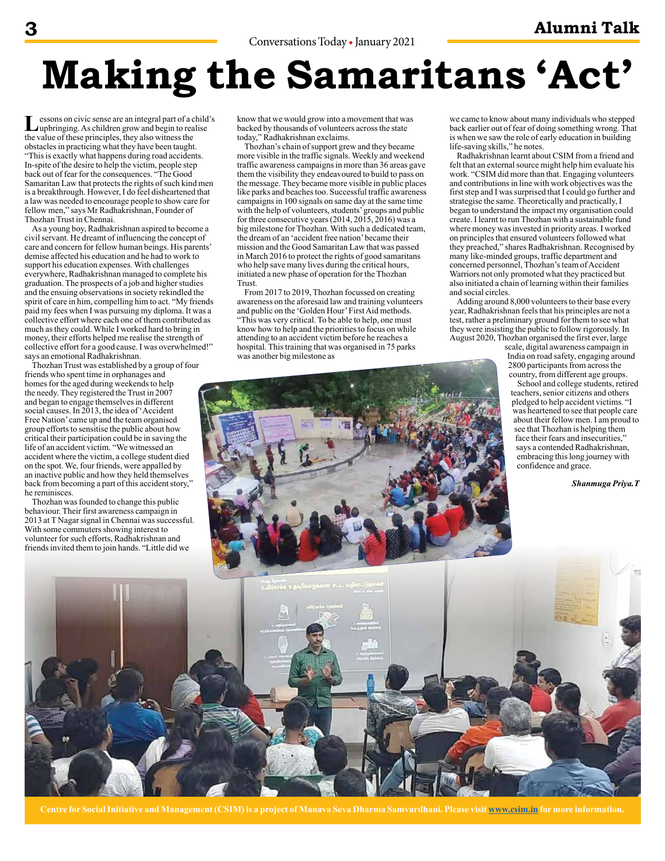# **Making the Samaritans 'Act'**

Lessons on civic sense are an integral part of a child's<br>
upbringing. As children grow and begin to realise<br>
the value of these primeiples, they also witness the the value of these principles, they also witness the obstacles in practicing what they have been taught. This is exactly what happens during road accidents. In-spite of the desire to help the victim, people step back out of fear for the consequences. "The Good Samaritan Law that protects the rights of such kind men is a breakthrough. However, I do feel disheartened that a law was needed to encourage people to show care for fellow men," says Mr Radhakrishnan, Founder of Thozhan Trust in Chennai.

As a young boy, Radhakrishnan aspired to become a civil servant. He dreamt of influencing the concept of care and concern for fellow human beings. His parents' demise affected his education and he had to work to support his education expenses. With challenges everywhere, Radhakrishnan managed to complete his graduation. The prospects of a job and higher studies and the ensuing observations in society rekindled the spirit of care in him, compelling him to act. "My friends paid my fees when I was pursuing my diploma. It was a collective effort where each one of them contributed as much as they could. While I worked hard to bring in money, their efforts helped me realise the strength of collective effort for a good cause. I was overwhelmed!" says an emotional Radhakrishnan.

Thozhan Trust was established by a group of four friends who spent time in orphanages and homes for the aged during weekends to help the needy. They registered the Trust in 2007 and began to engage themselves in different social causes. In 2013, the idea of 'Accident Free Nation' came up and the team organised group efforts to sensitise the public about how critical their participation could be in saving the life of an accident victim. "We witnessed an accident where the victim, a college student died on the spot. We, four friends, were appalled by an inactive public and how they held themselves back from becoming a part of this accident story," he reminisces.

Thozhan was founded to change this public behaviour. Their first awareness campaign in 2013 at T Nagar signal in Chennai was successful. With some commuters showing interest to volunteer for such efforts, Radhakrishnan and friends invited them to join hands. "Little did we

know that we would grow into a movement that was backed by thousands of volunteers across the state today," Radhakrishnan exclaims.

Thozhan's chain of support grew and they became more visible in the traffic signals. Weekly and weekend traffic awareness campaigns in more than 36 areas gave them the visibility they endeavoured to build to pass on the message. They became more visible in public places like parks and beaches too. Successful traffic awareness campaigns in 100 signals on same day at the same time with the help of volunteers, students' groups and public for three consecutive years  $(2014, 2015, 2016)$  was a big milestone for Thozhan. With such a dedicated team, the dream of an 'accident free nation' became their mission and the Good Samaritan Law that was passed in March 2016 to protect the rights of good samaritans who help save many lives during the critical hours, initiated a new phase of operation for the Thozhan Trust.

From 2017 to 2019, Thozhan focussed on creating awareness on the aforesaid law and training volunteers and public on the 'Golden Hour' First Aid methods. "This was very critical. To be able to help, one must know how to help and the priorities to focus on while attending to an accident victim before he reaches a hospital. This training that was organised in 75 parks was another big milestone as

we came to know about many individuals who stepped back earlier out of fear of doing something wrong. That is when we saw the role of early education in building life-saving skills," he notes.

Radhakrishnan learnt about CSIM from a friend and felt that an external source might help him evaluate his work. "CSIM did more than that. Engaging volunteers and contributions in line with work objectives was the first step and I was surprised that I could go further and strategise the same. Theoretically and practically, I began to understand the impact my organisation could create. I learnt to run Thozhan with a sustainable fund where money was invested in priority areas. I worked on principles that ensured volunteers followed what they preached," shares Radhakrishnan. Recognised by many like-minded groups, traffic department and concerned personnel, Thozhan's team of Accident Warriors not only promoted what they practiced but also initiated a chain of learning within their families and social circles.

Adding around 8,000 volunteers to their base every year, Radhakrishnan feels that his principles are not a test, rather a preliminary ground for them to see what they were insisting the public to follow rigorously. In August 2020, Thozhan organised the first ever, large

scale, digital awareness campaign in India on road safety, engaging around 2800 participants from across the country, from different age groups.

School and college students, retired teachers, senior citizens and others pledged to help accident victims. "I was heartened to see that people care about their fellow men. I am proud to see that Thozhan is helping them face their fears and insecurities," says a contended Radhakrishnan, embracing this long journey with confidence and grace.

*Shanmuga Priya.T*



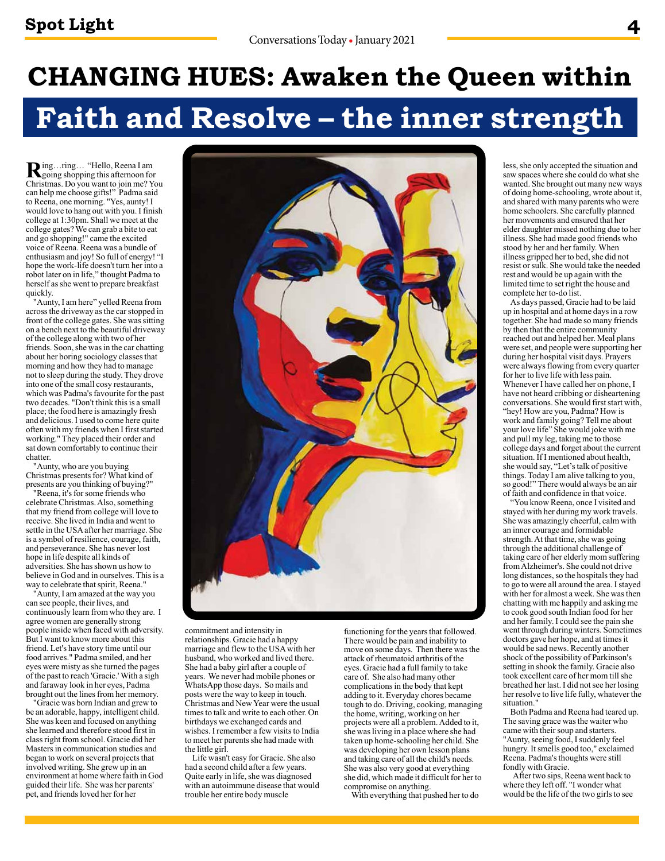# **CHANGING HUES: Awaken the Queen within**

# **Faith and Resolve – the inner strength**

Ring...ring... "Hello, Reena I am<br>going shopping this afternoon for<br>Christmas De vou want to isin me<sup>2</sup> Yo</sub> Christmas. Do you want to join me? You can help me choose gifts!" Padma said to Reena, one morning. "Yes, aunty! I would love to hang out with you. I finish college at 1:30pm. Shall we meet at the college gates? We can grab a bite to eat and go shopping!" came the excited voice of Reena. Reena was a bundle of enthusiasm and joy! So full of energy! "I hope the work-life doesn't turn her into a robot later on in life," thought Padma to herself as she went to prepare breakfast quickly.

"Aunty, I am here" yelled Reena from across the driveway as the car stopped in front of the college gates. She was sitting on a bench next to the beautiful driveway of the college along with two of her friends. Soon, she was in the car chatting about her boring sociology classes that morning and how they had to manage not to sleep during the study. They drove into one of the small cosy restaurants, which was Padma's favourite for the past two decades. "Don't think this is a small place; the food here is amazingly fresh and delicious. I used to come here quite often with my friends when I first started working." They placed their order and sat down comfortably to continue their chatter.

"Aunty, who are you buying Christmas presents for? What kind of presents are you thinking of buying?"

"Reena, it's for some friends who celebrate Christmas. Also, something that my friend from college will love to receive. She lived in India and went to settle in the USA after her marriage. She is a symbol of resilience, courage, faith, and perseverance. She has never lost hope in life despite all kinds of adversities. She has shown us how to believe in God and in ourselves. This is a way to celebrate that spirit, Reena."

"Aunty, I am amazed at the way you can see people, their lives, and continuously learn from who they are. I agree women are generally strong people inside when faced with adversity. But I want to know more about this friend. Let's have story time until our food arrives." Padma smiled, and her eyes were misty as she turned the pages of the past to reach 'Gracie.' With a sigh and faraway look in her eyes, Padma brought out the lines from her memory.

"Gracie was born Indian and grew to be an adorable, happy, intelligent child. She was keen and focused on anything she learned and therefore stood first in class right from school. Gracie did her Masters in communication studies and began to work on several projects that involved writing. She grew up in an environment at home where faith in God guided their life. She was her parents' pet, and friends loved her for her



commitment and intensity in relationships. Gracie had a happy marriage and flew to the USA with her husband, who worked and lived there. She had a baby girl after a couple of years. We never had mobile phones or WhatsApp those days. So mails and posts were the way to keep in touch. Christmas and New Year were the usual times to talk and write to each other. On birthdays we exchanged cards and wishes. I remember a few visits to India to meet her parents she had made with the little girl.

Life wasn't easy for Gracie. She also had a second child after a few years. Quite early in life, she was diagnosed with an autoimmune disease that would trouble her entire body muscle

functioning for the years that followed. There would be pain and inability to move on some days. Then there was the attack of rheumatoid arthritis of the eyes. Gracie had a full family to take care of. She also had many other complications in the body that kept adding to it. Everyday chores became tough to do. Driving, cooking, managing the home, writing, working on her projects were all a problem. Added to it, she was living in a place where she had taken up home-schooling her child. She was developing her own lesson plans and taking care of all the child's needs. She was also very good at everything she did, which made it difficult for her to compromise on anything.

With everything that pushed her to do

less, she only accepted the situation and saw spaces where she could do what she wanted. She brought out many new ways of doing home-schooling, wrote about it, and shared with many parents who were home schoolers. She carefully planned her movements and ensured that her elder daughter missed nothing due to her illness. She had made good friends who stood by her and her family. When illness gripped her to bed, she did not resist or sulk. She would take the needed rest and would be up again with the limited time to set right the house and complete her to-do list.

As days passed, Gracie had to be laid up in hospital and at home days in a row together. She had made so many friends by then that the entire community reached out and helped her. Meal plans were set, and people were supporting her during her hospital visit days. Prayers were always flowing from every quarter for her to live life with less pain. Whenever I have called her on phone, I have not heard cribbing or disheartening conversations. She would first start with, "hey! How are you, Padma? How is work and family going? Tell me about your love life" She would joke with me and pull my leg, taking me to those college days and forget about the current situation. If I mentioned about health, she would say, "Let's talk of positive things. Today I am alive talking to you, so good!" There would always be an air of faith and confidence in that voice.

"You know Reena, once I visited and stayed with her during my work travels. She was amazingly cheerful, calm with an inner courage and formidable strength. At that time, she was going through the additional challenge of taking care of her elderly mom suffering from Alzheimer's. She could not drive long distances, so the hospitals they had to go to were all around the area. I stayed with her for almost a week. She was then chatting with me happily and asking me to cook good south Indian food for her and her family. I could see the pain she went through during winters. Sometimes doctors gave her hope, and at times it would be sad news. Recently another shock of the possibility of Parkinson's setting in shook the family. Gracie also took excellent care of her mom till she breathed her last. I did not see her losing her resolve to live life fully, whatever the situation."

Both Padma and Reena had teared up. The saving grace was the waiter who came with their soup and starters. "Aunty, seeing food, I suddenly feel hungry. It smells good too," exclaimed Reena. Padma's thoughts were still fondly with Gracie.

 After two sips, Reena went back to where they left off. "I wonder what would be the life of the two girls to see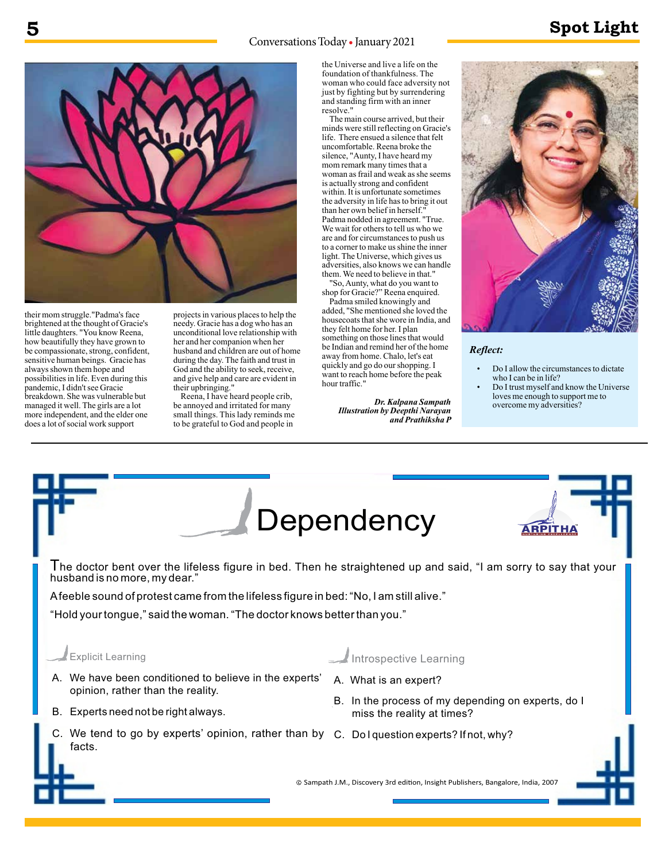#### Conversations Today • January 2021



their mom struggle."Padma's face brightened at the thought of Gracie's little daughters. "You know Reena, how beautifully they have grown to be compassionate, strong, confident, sensitive human beings. Gracie has always shown them hope and possibilities in life. Even during this pandemic, I didn't see Gracie breakdown. She was vulnerable but managed it well. The girls are a lot more independent, and the elder one does a lot of social work support

projects in various places to help the needy. Gracie has a dog who has an unconditional love relationship with her and her companion when her husband and children are out of home during the day. The faith and trust in God and the ability to seek, receive, and give help and care are evident in their upbringing."

Reena, I have heard people crib, be annoyed and irritated for many small things. This lady reminds me to be grateful to God and people in

the Universe and live a life on the foundation of thankfulness. The woman who could face adversity not just by fighting but by surrendering and standing firm with an inner resolve."

The main course arrived, but their minds were still reflecting on Gracie's life. There ensued a silence that felt uncomfortable. Reena broke the silence, "Aunty, I have heard my mom remark many times that a woman as frail and weak as she seems is actually strong and confident within. It is unfortunate sometimes the adversity in life has to bring it out than her own belief in herself." Padma nodded in agreement. "True. We wait for others to tell us who we are and for circumstances to push us to a corner to make us shine the inner light. The Universe, which gives us adversities, also knows we can handle them. We need to believe in that."

"So, Aunty, what do you want to shop for Gracie?" Reena enquired.

Padma smiled knowingly and added, "She mentioned she loved the housecoats that she wore in India, and they felt home for her. I plan something on those lines that would be Indian and remind her of the home away from home. Chalo, let's eat quickly and go do our shopping. I want to reach home before the peak hour traffic."

> *Dr. Kalpana Sampath Illustration by Deepthi Narayan and Prathiksha P*



#### *Reflect:*

- Do I allow the circumstances to dictate who I can be in life?
- Do I trust myself and know the Universe loves me enough to support me to overcome my adversities?



### **5 Spot Light**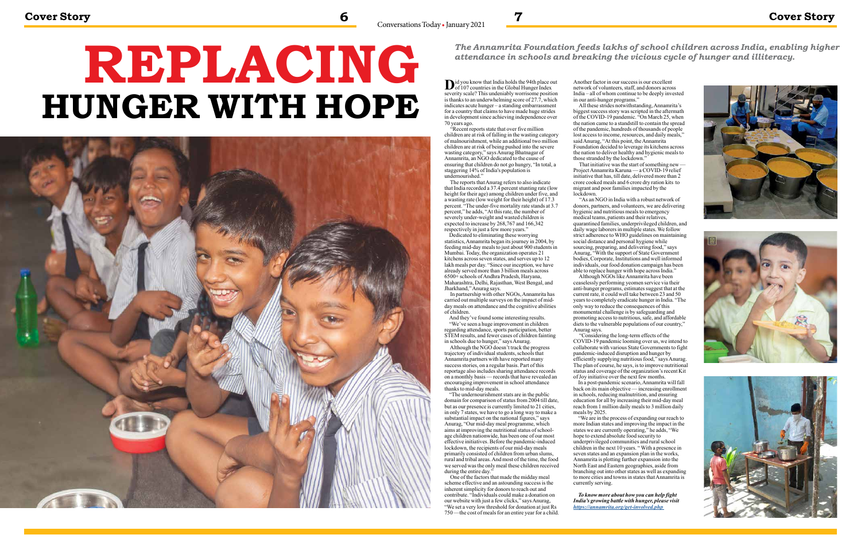**D**id you know that India holds the 94th place out<br>of 107 countries in the Global Hunger Index severity scale? This undeniably worrisome position is thanks to an underwhelming score of 27.7, which indicates acute hunger – a standing embarrassment for a country that claims to have made huge strides in development since achieving independence over 70 years ago.

 "Recent reports state that over five million children are at risk of falling in the wasting category of malnourishment, while an additional two million children are at risk of being pushed into the severe wasting category," says Anurag Bhatnagar of Annamrita, an NGO dedicated to the cause of ensuring that children do not go hungry, "In total, a staggering 14% of India's population is undernourished."

 The reports that Anurag refers to also indicate Dedicated to eliminating these worrying

"The undernourishment stats are in the public domain for comparison of status from 2004 till date, but as our presence is currently limited to 21 cities, in only 7 states, we have to go a long way to make a substantial impact on the national figures," says Anurag, "Our mid-day meal programme, which aims at improving the nutritional status of schoolage children nationwide, has been one of our most effective initiatives. Before the pandemic-induced lockdown, the recipients of our mid-day meals primarily consisted of children from urban slums, rural and tribal areas. And most of the time, the food we served was the only meal these children received during the entire day."

that India recorded a 37.4 percent stunting rate (low height for their age) among children under five, and a wasting rate (low weight for their height) of 17.3 percent. "The under-five mortality rate stands at 3.7 percent," he adds, "At this rate, the number of severely under-weight and wasted children is expected to increase by 268,767 and 166,342 respectively in just a few more years." statistics, Annamrita began its journey in 2004, by feeding mid-day meals to just about 900 students in Mumbai. Today, the organization operates 21 kitchens across seven states, and serves up to 12 lakh meals per day. "Since our inception, we have already served more than 3 billion meals across 6500+ schools of Andhra Pradesh, Haryana, Maharashtra, Delhi, Rajasthan, West Bengal, and Jharkhand," Anurag says.

 In partnership with other NGOs, Annamrita has carried out multiple surveys on the impact of midday meals on attendance and the cognitive abilities of children.

And they've found some interesting results. "We've seen a huge improvement in children regarding attendance, sports participation, better STEM results, and fewer cases of children fainting in schools due to hunger," says Anurag.

 Although the NGO doesn't track the progress trajectory of individual students, schools that Annamrita partners with have reported many success stories, on a regular basis. Part of this reportage also includes sharing attendance records on a monthly basis — records that have revealed an encouraging improvement in school attendance thanks to mid-day meals.

 One of the factors that made the midday meal scheme effective and an astounding success is the inherent simplicity for donors to reach out and contribute. "Individuals could make a donation on our website with just a few clicks," says Anurag, "We set a very low threshold for donation at just Rs 750 —the cost of meals for an entire year for a child.

Another factor in our success is our excellent network of volunteers, staff, and donors across India – all of whom continue to be deeply invested in our anti-hunger programs."

 All these strides notwithstanding, Annamrita's biggest success story was scripted in the aftermath of the COVID-19 pandemic. "On March 25, when the nation came to a standstill to contain the spread of the pandemic, hundreds of thousands of people lost access to income, resources, and daily meals,' said Anurag, "At this point, the Annamrita Foundation decided to leverage its kitchens across the nation to deliver healthy and hygienic meals to those stranded by the lockdown."

 That initiative was the start of something new — Project Annamrita Karuna — a COVID-19 relief initiative that has, till date, delivered more than 2 crore cooked meals and 6 crore dry ration kits to migrant and poor families impacted by the lockdown.

 "As an NGO in India with a robust network of donors, partners, and volunteers, we are delivering hygienic and nutritious meals to emergency medical teams, patients and their relatives, quarantined families, underprivileged children, and daily wage laborers in multiple states. We follow strict adherence to WHO guidelines on maintaining social distance and personal hygiene while sourcing, preparing, and delivering food," says Anurag, "With the support of State Government bodies, Corporate, Institutions and well informed individuals, our food donation campaign has been able to replace hunger with hope across India."

 Although NGOs like Annamrita have been ceaselessly performing yeomen service via their anti-hunger programs, estimates suggest that at the current rate, it could well take between 23 and 50 years to completely eradicate hunger in India. "The only way to reduce the consequences of this monumental challenge is by safeguarding and promoting access to nutritious, safe, and affordable diets to the vulnerable populations of our country," Anurag says.

 "Considering the long-term effects of the COVID-19 pandemic looming over us, we intend to collaborate with various State Governments to fight pandemic-induced disruption and hunger by efficiently supplying nutritious food," says Anurag. The plan of course, he says, is to improve nutritional status and coverage of the organization's recent Kit of Joy initiative over the next few months.

In a post-pandemic scenario, Annamrita will fall back on its main objective — increasing enrollment in schools, reducing malnutrition, and ensuring education for all by increasing their mid-day meal reach from 1 million daily meals to 3 million daily meals by 2025.

"We are in the process of expanding our reach to more Indian states and improving the impact in the states we are currently operating," he adds, "We hope to extend absolute food security to underprivileged communities and rural school children in the next 10 years. " With a presence in seven states and an expansion plan in the works, Annamrita is plotting further expansion into the North East and Eastern geographies, aside from branching out into other states as well as expanding to more cities and towns in states that Annamrita is currently serving.

*To know more about how you can help fight India's growing battle with hunger, please visit https://annamrita.org/get-involved.php* 







# **REPLACING HUNGER WITH HOPE**



### *The Annamrita Foundation feeds lakhs of school children across India, enabling higher attendance in schools and breaking the vicious cycle of hunger and illiteracy.*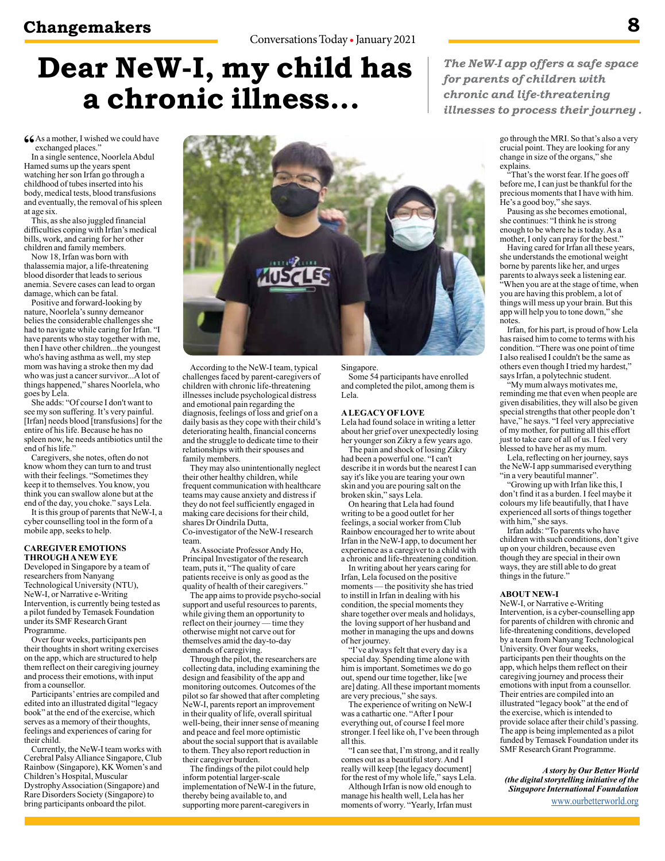## **Dear NeW-I, my child has a chronic illness...**

*The NeW-I app offers a safe space for parents of children with chronic and life-threatening illnesses to process their journey .*

**66** As a mother, I wished we could have exchanged places."

In a single sentence, Noorlela Abdul Hamed sums up the years spent watching her son Irfan go through a childhood of tubes inserted into his body, medical tests, blood transfusions and eventually, the removal of his spleen at age six.

This, as she also juggled financial difficulties coping with Irfan's medical bills, work, and caring for her other children and family members.

Now 18, Irfan was born with thalassemia major, a life-threatening blood disorder that leads to serious anemia. Severe cases can lead to organ damage, which can be fatal.

Positive and forward-looking by nature, Noorlela's sunny demeanor belies the considerable challenges she had to navigate while caring for Irfan. "I have parents who stay together with me, then I have other children...the youngest who's having asthma as well, my step mom was having a stroke then my dad who was just a cancer survivor...A lot of things happened," shares Noorlela, who goes by Lela.

She adds: "Of course I don't want to see my son suffering. It's very painful. [Irfan] needs blood [transfusions] for the entire of his life. Because he has no spleen now, he needs antibiotics until the end of his life."

Caregivers, she notes, often do not know whom they can turn to and trust with their feelings. "Sometimes they keep it to themselves. You know, you think you can swallow alone but at the end of the day, you choke." says Lela.

It is this group of parents that NeW-I, a cyber counselling tool in the form of a mobile app, seeks to help.

#### **CAREGIVER EMOTIONS THROUGH A NEW EYE**

Developed in Singapore by a team of researchers from Nanyang Technological University (NTU), NeW-I, or Narrative e-Writing Intervention, is currently being tested as a pilot funded by Temasek Foundation under its SMF Research Grant Programme.

Over four weeks, participants pen their thoughts in short writing exercises on the app, which are structured to help them reflect on their caregiving journey and process their emotions, with input from a counsellor.

Participants' entries are compiled and edited into an illustrated digital "legacy book" at the end of the exercise, which serves as a memory of their thoughts, feelings and experiences of caring for their child.

Currently, the NeW-I team works with Cerebral Palsy Alliance Singapore, Club Rainbow (Singapore), KK Women's and Children's Hospital, Muscular Dystrophy Association (Singapore) and Rare Disorders Society (Singapore) to bring participants onboard the pilot.



According to the NeW-I team, typical challenges faced by parent-caregivers of children with chronic life-threatening illnesses include psychological distress and emotional pain regarding the diagnosis, feelings of loss and grief on a daily basis as they cope with their child's deteriorating health, financial concerns and the struggle to dedicate time to their relationships with their spouses and family members.

They may also unintentionally neglect their other healthy children, while frequent communication with healthcare teams may cause anxiety and distress if they do not feel sufficiently engaged in making care decisions for their child, shares Dr Oindrila Dutta, Co-investigator of the NeW-I research team.

As Associate Professor Andy Ho, Principal Investigator of the research team, puts it, "The quality of care patients receive is only as good as the quality of health of their caregivers.'

The app aims to provide psycho-social support and useful resources to parents, while giving them an opportunity to reflect on their journey — time they otherwise might not carve out for themselves amid the day-to-day demands of caregiving.

Through the pilot, the researchers are collecting data, including examining the design and feasibility of the app and monitoring outcomes. Outcomes of the pilot so far showed that after completing NeW-I, parents report an improvement in their quality of life, overall spiritual well-being, their inner sense of meaning and peace and feel more optimistic about the social support that is available to them. They also report reduction in their caregiver burden.

The findings of the pilot could help inform potential larger-scale implementation of NeW-I in the future, thereby being available to, and supporting more parent-caregivers in

Singapore.

Some 54 participants have enrolled and completed the pilot, among them is Lela.

#### **A LEGACY OF LOVE**

Lela had found solace in writing a letter about her grief over unexpectedly losing her younger son Zikry a few years ago. The pain and shock of losing Zikry

had been a powerful one. "I can't describe it in words but the nearest I can say it's like you are tearing your own skin and you are pouring salt on the broken skin," says Lela.

On hearing that Lela had found writing to be a good outlet for her feelings, a social worker from Club Rainbow encouraged her to write about Irfan in the NeW-I app, to document her experience as a caregiver to a child with a chronic and life-threatening condition.

In writing about her years caring for Irfan, Lela focused on the positive moments — the positivity she has tried to instill in Irfan in dealing with his condition, the special moments they share together over meals and holidays, the loving support of her husband and mother in managing the ups and downs of her journey.

"I've always felt that every day is a special day. Spending time alone with him is important. Sometimes we do go out, spend our time together, like [we are] dating. All these important moments are very precious," she says.

The experience of writing on NeW-I was a cathartic one. "After I pour everything out, of course I feel more stronger. I feel like oh, I've been through all this.

"I can see that, I'm strong, and it really comes out as a beautiful story. And I really will keep [the legacy document] for the rest of my whole life," says Lela.

Although Irfan is now old enough to manage his health well, Lela has her moments of worry. "Yearly, Irfan must go through the MRI. So that's also a very crucial point. They are looking for any change in size of the organs," she explains.

"That's the worst fear. If he goes off before me. I can just be thankful for the precious moments that I have with him. He's a good boy," she says.

Pausing as she becomes emotional, she continues: "I think he is strong enough to be where he is today. As a mother, I only can pray for the best."

Having cared for Irfan all these years, she understands the emotional weight borne by parents like her, and urges parents to always seek a listening ear. When you are at the stage of time, when you are having this problem, a lot of things will mess up your brain. But this app will help you to tone down," she notes.

Irfan, for his part, is proud of how Lela has raised him to come to terms with his condition. "There was one point of time I also realised I couldn't be the same as others even though I tried my hardest," says Irfan, a polytechnic student.

"My mum always motivates me, reminding me that even when people are given disabilities, they will also be given special strengths that other people don't have," he says. "I feel very appreciative of my mother, for putting all this effort just to take care of all of us. I feel very blessed to have her as my mum.

Lela, reflecting on her journey, says the NeW-I app summarised everything "in a very beautiful manner".

"Growing up with Irfan like this, I don't find it as a burden. I feel maybe it colours my life beautifully, that I have experienced all sorts of things together with him," she says.

Irfan adds: "To parents who have children with such conditions, don't give up on your children, because even though they are special in their own ways, they are still able to do great things in the future."

#### **ABOUT NEW-I**

NeW-I, or Narrative e-Writing Intervention, is a cyber-counselling app for parents of children with chronic and life-threatening conditions, developed by a team from Nanyang Technological University. Over four weeks, participants pen their thoughts on the app, which helps them reflect on their caregiving journey and process their emotions with input from a counsellor. Their entries are compiled into an illustrated "legacy book" at the end of the exercise, which is intended to provide solace after their child's passing. The app is being implemented as a pilot funded by Temasek Foundation under its SMF Research Grant Programme.

*A story by Our Better World (the digital storytelling initiative of the Singapore International Foundation*  www.ourbetterworld.org

**8**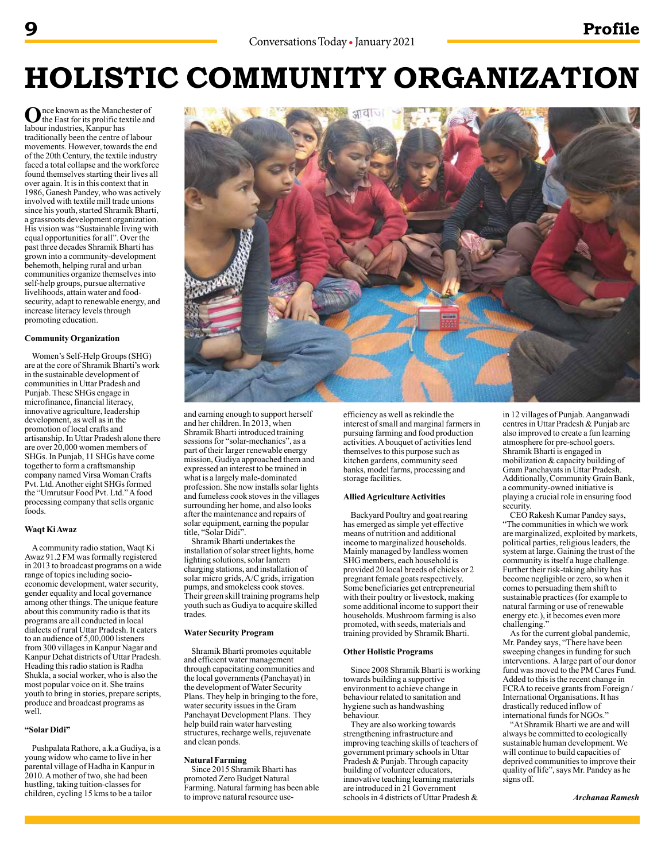### **9 Profile**

# **HOLISTIC COMMUNITY ORGANIZATION**

Once known as the Manchester of<br>the East for its prolific textile and<br>labour industries Kampushes labour industries, Kanpur has

traditionally been the centre of labour movements. However, towards the end of the 20th Century, the textile industry faced a total collapse and the workforce found themselves starting their lives all over again. It is in this context that in 1986, Ganesh Pandey, who was actively involved with textile mill trade unions since his youth, started Shramik Bharti, a grassroots development organization. His vision was "Sustainable living with equal opportunities for all". Over the past three decades Shramik Bharti has grown into a community-development behemoth, helping rural and urban communities organize themselves into self-help groups, pursue alternative livelihoods, attain water and foodsecurity, adapt to renewable energy, and increase literacy levels through promoting education.

#### **Community Organization**

Women's Self-Help Groups (SHG) are at the core of Shramik Bharti's work in the sustainable development of communities in Uttar Pradesh and Punjab. These SHGs engage in microfinance, financial literacy, innovative agriculture, leadership development, as well as in the promotion of local crafts and artisanship. In Uttar Pradesh alone there are over 20,000 women members of SHGs. In Punjab, 11 SHGs have come together to form a craftsmanship company named Virsa Woman Crafts Pvt. Ltd. Another eight SHGs formed the "Umrutsur Food Pvt. Ltd." A food processing company that sells organic foods.

#### **Waqt Ki Awaz**

A community radio station, Waqt Ki Awaz 91.2 FM was formally registered in 2013 to broadcast programs on a wide range of topics including socioeconomic development, water security, gender equality and local governance among other things. The unique feature about this community radio is that its programs are all conducted in local dialects of rural Uttar Pradesh. It caters to an audience of 5,00,000 listeners from 300 villages in Kanpur Nagar and Kanpur Dehat districts of Uttar Pradesh. Heading this radio station is Radha Shukla, a social worker, who is also the most popular voice on it. She trains youth to bring in stories, prepare scripts, produce and broadcast programs as well.

#### **"Solar Didi"**

Pushpalata Rathore, a.k.a Gudiya, is a young widow who came to live in her parental village of Hadha in Kanpur in 2010. A mother of two, she had been hustling, taking tuition-classes for children, cycling 15 kms to be a tailor



and earning enough to support herself and her children. In 2013, when Shramik Bharti introduced training sessions for "solar-mechanics", as a part of their larger renewable energy mission, Gudiya approached them and expressed an interest to be trained in what is a largely male-dominated profession. She now installs solar lights and fumeless cook stoves in the villages surrounding her home, and also looks after the maintenance and repairs of solar equipment, earning the popular title, "Solar Didi".

Shramik Bharti undertakes the installation of solar street lights, home lighting solutions, solar lantern charging stations, and installation of solar micro grids, A/C grids, irrigation pumps, and smokeless cook stoves. Their green skill training programs help youth such as Gudiya to acquire skilled trades.

#### **Water Security Program**

Shramik Bharti promotes equitable and efficient water management through capacitating communities and the local governments (Panchayat) in the development of Water Security Plans. They help in bringing to the fore, water security issues in the Gram Panchayat Development Plans. They help build rain water harvesting structures, recharge wells, rejuvenate and clean ponds.

#### **Natural Farming**

Since 2015 Shramik Bharti has promoted Zero Budget Natural Farming. Natural farming has been able to improve natural resource use-

efficiency as well as rekindle the interest of small and marginal farmers in pursuing farming and food production activities. A bouquet of activities lend themselves to this purpose such as kitchen gardens, community seed banks, model farms, processing and storage facilities.

#### **Allied Agriculture Activities**

Backyard Poultry and goat rearing has emerged as simple yet effective means of nutrition and additional income to marginalized households. Mainly managed by landless women SHG members, each household is provided 20 local breeds of chicks or 2 pregnant female goats respectively. Some beneficiaries get entrepreneurial with their poultry or livestock, making some additional income to support their households. Mushroom farming is also promoted, with seeds, materials and training provided by Shramik Bharti.

#### **Other Holistic Programs**

Since 2008 Shramik Bharti is working towards building a supportive environment to achieve change in behaviour related to sanitation and hygiene such as handwashing behaviour.

They are also working towards strengthening infrastructure and improving teaching skills of teachers of government primary schools in Uttar Pradesh & Punjab. Through capacity building of volunteer educators, innovative teaching learning materials are introduced in 21 Government schools in 4 districts of Uttar Pradesh &

in 12 villages of Punjab. Aanganwadi centres in Uttar Pradesh & Punjab are also improved to create a fun learning atmosphere for pre-school goers. Shramik Bharti is engaged in mobilization & capacity building of Gram Panchayats in Uttar Pradesh. Additionally, Community Grain Bank, a community-owned initiative is playing a crucial role in ensuring food security.

CEO Rakesh Kumar Pandey says, "The communities in which we work are marginalized, exploited by markets, political parties, religious leaders, the system at large. Gaining the trust of the community is itself a huge challenge. Further their risk-taking ability has become negligible or zero, so when it comes to persuading them shift to sustainable practices (for example to natural farming or use of renewable energy etc.), it becomes even more challenging.

As for the current global pandemic, Mr. Pandey says, "There have been sweeping changes in funding for such interventions. A large part of our donor fund was moved to the PM Cares Fund. Added to this is the recent change in FCRA to receive grants from Foreign / International Organisations. It has drastically reduced inflow of international funds for NGOs."

"At Shramik Bharti we are and will always be committed to ecologically sustainable human development. We will continue to build capacities of deprived communities to improve their quality of life", says Mr. Pandey as he signs off.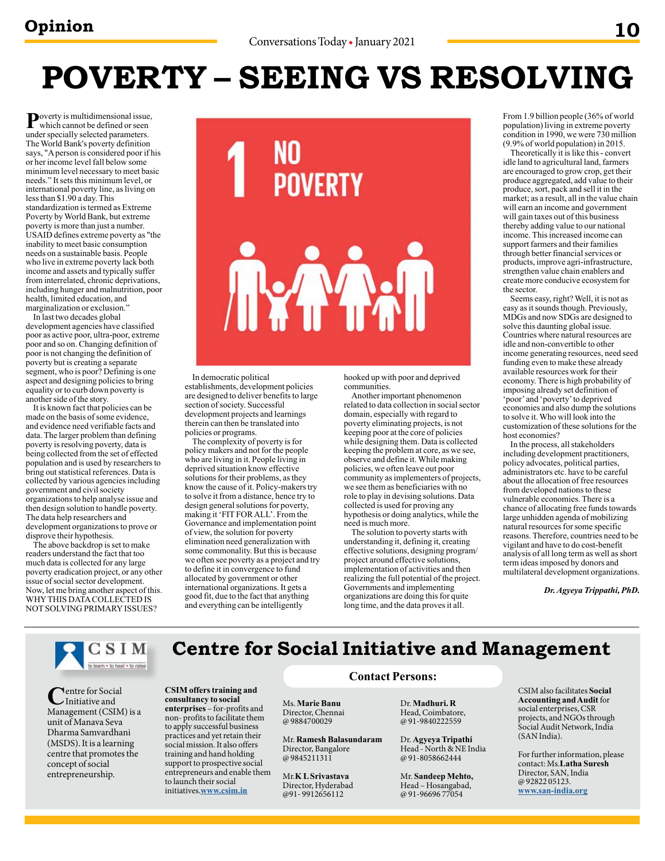# **POVERTY – SEEING VS RESOLVING**

**P**overty is multidimensional issue,<br>which cannot be defined or seen under specially selected parameters. The World Bank's poverty definition says, "A person is considered poor if his or her income level fall below some minimum level necessary to meet basic needs." It sets this minimum level, or international poverty line, as living on less than \$1.90 a day. This standardization is termed as Extreme Poverty by World Bank, but extreme poverty is more than just a number. USAID defines extreme poverty as "the inability to meet basic consumption needs on a sustainable basis. People who live in extreme poverty lack both income and assets and typically suffer from interrelated, chronic deprivations, including hunger and malnutrition, poor health, limited education, and marginalization or exclusion."

In last two decades global development agencies have classified poor as active poor, ultra-poor, extreme poor and so on. Changing definition of poor is not changing the definition of poverty but is creating a separate segment, who is poor? Defining is one aspect and designing policies to bring equality or to curb down poverty is another side of the story.

It is known fact that policies can be made on the basis of some evidence and evidence need verifiable facts and data. The larger problem than defining poverty is resolving poverty, data is being collected from the set of effected population and is used by researchers to bring out statistical references. Data is collected by various agencies including government and civil society organizations to help analyse issue and then design solution to handle poverty. The data help researchers and development organizations to prove or disprove their hypothesis.

The above backdrop is set to make readers understand the fact that too much data is collected for any large poverty eradication project, or any other issue of social sector development. Now, let me bring another aspect of this. WHY THIS DATA COLLECTED IS NOT SOLVING PRIMARY ISSUES?



In democratic political establishments, development policies are designed to deliver benefits to large section of society. Successful development projects and learnings therein can then be translated into policies or programs.

The complexity of poverty is for policy makers and not for the people who are living in it. People living in deprived situation know effective solutions for their problems, as they know the cause of it. Policy-makers try to solve it from a distance, hence try to design general solutions for poverty, making it 'FIT FOR ALL'. From the Governance and implementation point of view, the solution for poverty elimination need generalization with some commonality. But this is because we often see poverty as a project and try to define it in convergence to fund allocated by government or other international organizations. It gets a good fit, due to the fact that anything and everything can be intelligently

hooked up with poor and deprived communities.

Another important phenomenon related to data collection in social sector domain, especially with regard to poverty eliminating projects, is not keeping poor at the core of policies while designing them. Data is collected keeping the problem at core, as we see, observe and define it. While making policies, we often leave out poor community as implementers of projects, we see them as beneficiaries with no role to play in devising solutions. Data collected is used for proving any hypothesis or doing analytics, while the need is much more.

The solution to poverty starts with understanding it, defining it, creating effective solutions, designing program/ project around effective solutions, implementation of activities and then realizing the full potential of the project. Governments and implementing organizations are doing this for quite long time, and the data proves it all.

From 1.9 billion people (36% of world population) living in extreme poverty condition in 1990, we were 730 million (9.9% of world population) in 2015.

Theoretically it is like this - convert idle land to agricultural land, farmers are encouraged to grow crop, get their produce aggregated, add value to their produce, sort, pack and sell it in the market; as a result, all in the value chain will earn an income and government will gain taxes out of this business thereby adding value to our national income. This increased income can support farmers and their families through better financial services or products, improve agri-infrastructure, strengthen value chain enablers and create more conducive ecosystem for the sector.

Seems easy, right? Well, it is not as easy as it sounds though. Previously, MDGs and now SDGs are designed to solve this daunting global issue. Countries where natural resources are idle and non-convertible to other income generating resources, need seed funding even to make these already available resources work for their economy. There is high probability of imposing already set definition of 'poor' and 'poverty' to deprived economies and also dump the solutions to solve it. Who will look into the customization of these solutions for the host economies?

In the process, all stakeholders including development practitioners, policy advocates, political parties, administrators etc. have to be careful about the allocation of free resources from developed nations to these vulnerable economies. There is a chance of allocating free funds towards large unhidden agenda of mobilizing natural resources for some specific reasons. Therefore, countries need to be vigilant and have to do cost-benefit analysis of all long term as well as short term ideas imposed by donors and multilateral development organizations.

*Dr. Agyeya Trippathi, PhD.*



Centre for Social Management (CSIM) is a unit of Manava Seva Dharma Samvardhani (MSDS). It is a learning centre that promotes the concept of social entrepreneurship.

### **Centre for Social Initiative and Management**

**CSIM offers training and consultancy to social enterprises** – for-profits and non- profits to facilitate them to apply successful business practices and yet retain their social mission. It also offers training and hand holding support to prospective social entrepreneurs and enable them to launch their social initiatives.**www.csim.in**

Ms. **Marie Banu** Director, Chennai @ 9884700029

Mr. **Ramesh Balasundaram**  Director, Bangalore @ 9845211311

Mr.**K L Srivastava** Director, Hyderabad @91- 9912656112

#### **Contact Persons:**

Dr. **Madhuri. R** Head, Coimbatore, @ 91-9840222559

Dr. **Agyeya Tripathi**  Head - North & NE India @ 91-8058662444

Mr. **Sandeep Mehto,** Head – Hosangabad, @ 91-96696 77054

CSIM also facilitates **Social Accounting and Audit** for social enterprises, CSR projects, and NGOs through Social Audit Network, India (SAN India).

For further information, please contact: Ms.**Latha Suresh**  Director, SAN, India @ 92822 05123. **www.san-india.org**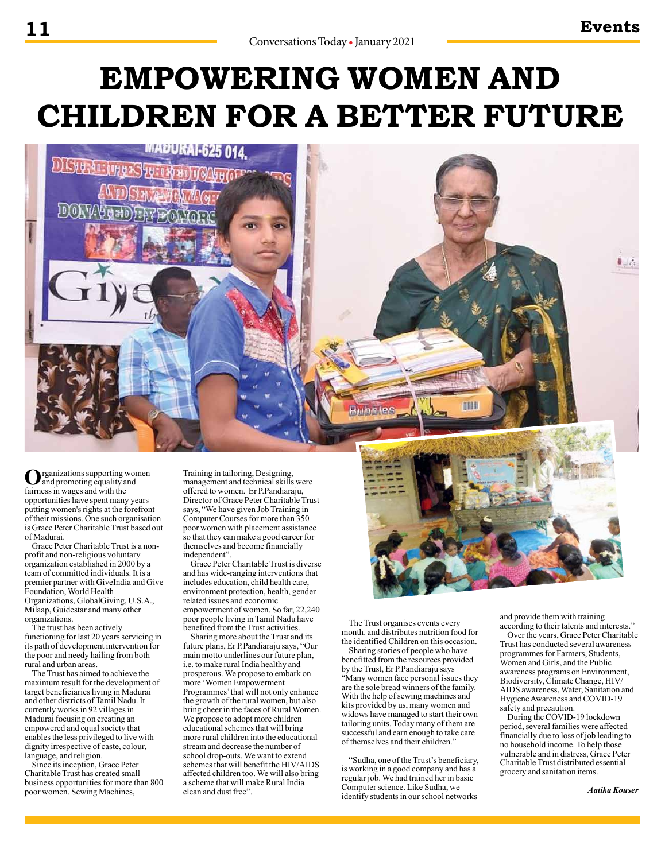$\mathbf{I}$ 

# **EMPOWERING WOMEN AND CHILDREN FOR A BETTER FUTURE**

# **MADURAI-625 014.**  $1000$

**O**rganizations supporting women fairness in wages and with the opportunities have spent many years putting women's rights at the forefront of their missions. One such organisation is Grace Peter Charitable Trust based out of Madurai.

Grace Peter Charitable Trust is a nonprofit and non-religious voluntary organization established in 2000 by a team of committed individuals. It is a premier partner with GiveIndia and Give Foundation, World Health Organizations, GlobalGiving, U.S.A., Milaap, Guidestar and many other organizations.

The trust has been actively functioning for last 20 years servicing in its path of development intervention for the poor and needy hailing from both rural and urban areas.

The Trust has aimed to achieve the maximum result for the development of target beneficiaries living in Madurai and other districts of Tamil Nadu. It currently works in 92 villages in Madurai focusing on creating an empowered and equal society that enables the less privileged to live with dignity irrespective of caste, colour, language, and religion.

Since its inception, Grace Peter Charitable Trust has created small business opportunities for more than 800 poor women. Sewing Machines,

Training in tailoring, Designing, management and technical skills were offered to women. Er P.Pandiaraju, Director of Grace Peter Charitable Trust says, "We have given Job Training in Computer Courses for more than 350 poor women with placement assistance so that they can make a good career for themselves and become financially independent".

Grace Peter Charitable Trust is diverse and has wide-ranging interventions that includes education, child health care, environment protection, health, gender related issues and economic empowerment of women. So far, 22,240

poor people living in Tamil Nadu have benefited from the Trust activities.

Sharing more about the Trust and its future plans, Er P.Pandiaraju says, "Our main motto underlines our future plan, i.e. to make rural India healthy and prosperous. We propose to embark on more 'Women Empowerment Programmes' that will not only enhance the growth of the rural women, but also bring cheer in the faces of Rural Women. We propose to adopt more children educational schemes that will bring more rural children into the educational stream and decrease the number of school drop-outs. We want to extend schemes that will benefit the HIV/AIDS affected children too. We will also bring a scheme that will make Rural India clean and dust free".

The Trust organises events every month. and distributes nutrition food for the identified Children on this occasion.

Sharing stories of people who have benefitted from the resources provided by the Trust, Er P.Pandiaraju says "Many women face personal issues they are the sole bread winners of the family. With the help of sewing machines and kits provided by us, many women and widows have managed to start their own tailoring units. Today many of them are successful and earn enough to take care of themselves and their children."

"Sudha, one of the Trust's beneficiary, is working in a good company and has a regular job. We had trained her in basic Computer science. Like Sudha, we identify students in our school networks

and provide them with training according to their talents and interests."

Over the years, Grace Peter Charitable Trust has conducted several awareness programmes for Farmers, Students, Women and Girls, and the Public awareness programs on Environment, Biodiversity, Climate Change, HIV/ AIDS awareness, Water, Sanitation and Hygiene Awareness and COVID-19 safety and precaution.

During the COVID-19 lockdown period, several families were affected financially due to loss of job leading to no household income. To help those vulnerable and in distress, Grace Peter Charitable Trust distributed essential grocery and sanitation items.